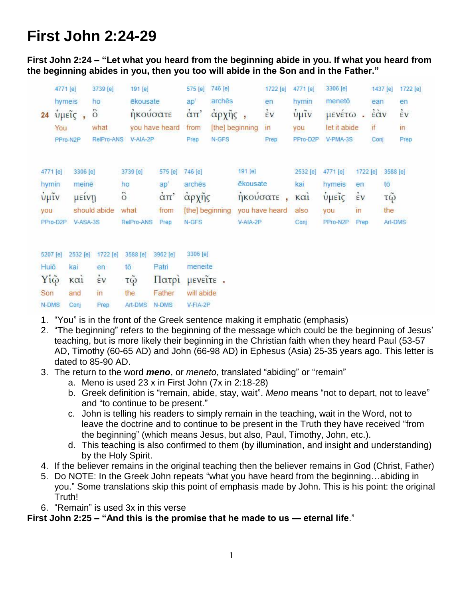## **First John 2:24-29**

**First John 2:24 – "Let what you heard from the beginning abide in you. If what you heard from the beginning abides in you, then you too will abide in the Son and in the Father."**

|                        | 4771 [e] |          | 3739 [e]       | 191 [e]        |                                   | 575 [e]                | 746 [e]         |                             | 1722 [e]       | 4771 [e]           | 3306 [e]     |          | 1437 [e] |          | 1722 [e] |
|------------------------|----------|----------|----------------|----------------|-----------------------------------|------------------------|-----------------|-----------------------------|----------------|--------------------|--------------|----------|----------|----------|----------|
|                        |          | hymeis   | ho             | ēkousate       |                                   | ap'                    | archēs          |                             | en             | hymin              | menetō       |          | ean      |          | en       |
| 24                     |          | υμείς    | $\ddot{\circ}$ |                | ήκούσατε                          | $\dot{\alpha}$ $\pi$ ' |                 | $\dot{\epsilon}$ v<br>άρχῆς |                | $\tilde{\psi}$ μῖν | μενέτω       |          | έὰν      | έv       |          |
|                        | You      |          | what           |                | you have heard                    | from                   |                 | [the] beginning             | $\mathsf{In}$  | you                | let it abide |          | if       |          | in       |
|                        |          | PPro-N2P | RelPro-ANS     | V-AIA-2P       |                                   | Prep                   | N-GFS           |                             | Prep           | PPro-D2P           | V-PMA-3S     |          | Conj     |          | Prep     |
|                        |          |          |                |                |                                   |                        |                 |                             |                |                    |              |          |          |          |          |
| 4771 [e]               |          | 3306 [e] |                | 3739 [e]       | 575 [e]                           | 746 [e]                |                 | 191 [e]                     |                | 2532 [e]           | 4771 [e]     | 1722 [e] |          | 3588 [e] |          |
| hymin                  |          | meinē    |                | ho             | ap'                               | arches                 |                 | ēkousate                    |                | kai                | hymeis       | en       |          | tō       |          |
| $\mathbf{\dot{v}}$ μΐν |          | μεινη    |                | $\ddot{\circ}$ | $\dot{\alpha}$ $\pi$ <sup>*</sup> | άρχης                  |                 | ήκούσατε                    |                | $\kappa$ $\alpha$  | ύμεις        | έV       |          | τῷ       |          |
| <b>vou</b>             |          |          | should abide   | what           | from                              |                        | [the] beginning |                             | you have heard | also               | you          | în       |          | the      |          |
| PPro-D2P               |          | V-ASA-3S |                | RelPro-ANS     | Prep                              | N-GFS                  |                 | V-AIA-2P                    |                | Conj               | PPro-N2P     | Prep.    |          | Art-DMS  |          |
|                        |          |          |                |                |                                   |                        |                 |                             |                |                    |              |          |          |          |          |
| 5207 [e]               |          | 2532 [e] | 1722 [e]       | 3588 [e]       | 3962 [e]                          | 3306 [e]               |                 |                             |                |                    |              |          |          |          |          |
| Huiō                   |          | kai      | en             | tō             | Patri                             | meneite                |                 |                             |                |                    |              |          |          |          |          |
| Yiệ                    |          | KCl1     | έV             | τ $\tilde{Q}$  | Πατρί                             | μενεΐτε.               |                 |                             |                |                    |              |          |          |          |          |
| Son                    |          | and      | in             | the            | Father                            | will abide             |                 |                             |                |                    |              |          |          |          |          |
| N-DMS                  |          | Conj     | Prep           | Art-DMS        | N-DMS                             | V-FIA-2P               |                 |                             |                |                    |              |          |          |          |          |

- 1. "You" is in the front of the Greek sentence making it emphatic (emphasis)
- 2. "The beginning" refers to the beginning of the message which could be the beginning of Jesus' teaching, but is more likely their beginning in the Christian faith when they heard Paul (53-57 AD, Timothy (60-65 AD) and John (66-98 AD) in Ephesus (Asia) 25-35 years ago. This letter is dated to 85-90 AD.
- 3. The return to the word *meno*, or *meneto*, translated "abiding" or "remain"
	- a. Meno is used 23 x in First John (7x in 2:18-28)
	- b. Greek definition is "remain, abide, stay, wait". *Meno* means "not to depart, not to leave" and "to continue to be present."
	- c. John is telling his readers to simply remain in the teaching, wait in the Word, not to leave the doctrine and to continue to be present in the Truth they have received "from the beginning" (which means Jesus, but also, Paul, Timothy, John, etc.).
	- d. This teaching is also confirmed to them (by illumination, and insight and understanding) by the Holy Spirit.
- 4. If the believer remains in the original teaching then the believer remains in God (Christ, Father)
- 5. Do NOTE: In the Greek John repeats "what you have heard from the beginning…abiding in you." Some translations skip this point of emphasis made by John. This is his point: the original Truth!
- 6. "Remain" is used 3x in this verse

**First John 2:25 – "And this is the promise that he made to us — eternal life**."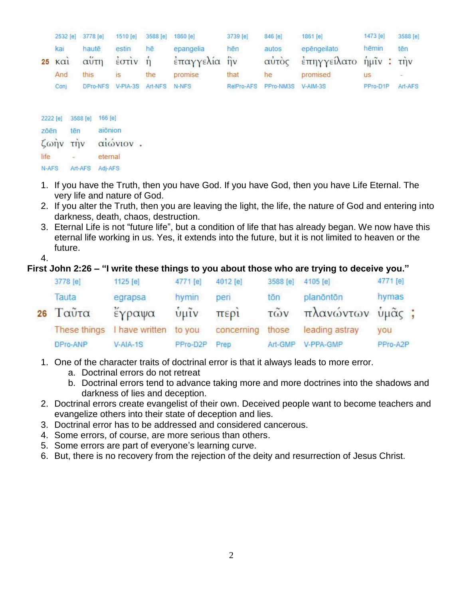|          |                    | 2532 [e] 3778 [e]   | 1510 [e]                                                      | 3588 [e] | 1860 [e]                  | 3739 [e]   | 846 [e]        | 1861 [e]                             | 1473 [e]  | 3588 [e] |  |
|----------|--------------------|---------------------|---------------------------------------------------------------|----------|---------------------------|------------|----------------|--------------------------------------|-----------|----------|--|
| 25       | kai<br>$K\alpha i$ | haute<br>αΰτη       | estin<br>$\frac{2}{5}$ $\sigma$ $\vec{r}$ $\vec{v}$ $\vec{n}$ | hē       | epangelia<br>έπαγγελία ήν | hēn        | autos<br>αύτος | epēngeilato<br>έπηγγείλατο ήμιν: την | hēmin     | tēn      |  |
|          | And                | this                | <b>IS</b>                                                     | the      | promise                   | that       | he             | promised                             | <b>US</b> |          |  |
|          | Conj               | DPro-NFS            | $V-PIA-3S$                                                    | Art-NFS  | N-NFS                     | RelPro-AFS | PPro-NM3S      | V-AIM-3S                             | PPro-D1P  | Art-AFS  |  |
| 2222 [e] |                    | 166 [e]<br>3588 [e] |                                                               |          |                           |            |                |                                      |           |          |  |
| 755n     | $+75$              | 210000              |                                                               |          |                           |            |                |                                      |           |          |  |

zõen tēn αιωνιον. ζωην την life eternal N-AFS Art-AFS Adi-AFS

- 1. If you have the Truth, then you have God. If you have God, then you have Life Eternal. The very life and nature of God.
- 2. If you alter the Truth, then you are leaving the light, the life, the nature of God and entering into darkness, death, chaos, destruction.
- 3. Eternal Life is not "future life", but a condition of life that has already began. We now have this eternal life working in us. Yes, it extends into the future, but it is not limited to heaven or the future.

4.

## **First John 2:26 – "I write these things to you about those who are trying to deceive you."**

| 3778 [e]     | 1125 [e]              | 4771 [e]      | 4012 [e]   | 3588 [e]          | 4105 [e]         | 4771 [e] |  |
|--------------|-----------------------|---------------|------------|-------------------|------------------|----------|--|
| Tauta        | egrapsa               | hymin         | peri       | tōn               | planöntön        | hymas    |  |
| $26$ Ταὖτα   | έγραψα                | $\frac{1}{2}$ | περί       | $\tilde{\tau}$ ων | πλανώντων υμᾶς ; |          |  |
| These things | I have written to you |               | concerning | those             | leading astray   | you      |  |
| DPro-ANP     | $V- AIA-1S$           | PPro-D2P      | Prep       | Art-GMP           | V-PPA-GMP        | PPro-A2P |  |

- 1. One of the character traits of doctrinal error is that it always leads to more error.
	- a. Doctrinal errors do not retreat
	- b. Doctrinal errors tend to advance taking more and more doctrines into the shadows and darkness of lies and deception.
- 2. Doctrinal errors create evangelist of their own. Deceived people want to become teachers and evangelize others into their state of deception and lies.
- 3. Doctrinal error has to be addressed and considered cancerous.
- 4. Some errors, of course, are more serious than others.
- 5. Some errors are part of everyone's learning curve.
- 6. But, there is no recovery from the rejection of the deity and resurrection of Jesus Christ.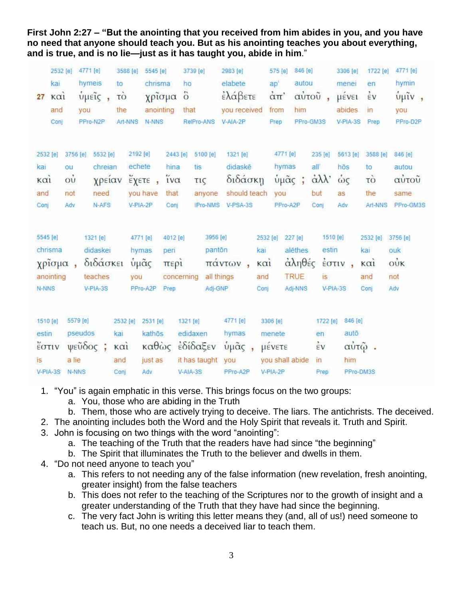**First John 2:27 – "But the anointing that you received from him abides in you, and you have no need that anyone should teach you. But as his anointing teaches you about everything, and is true, and is no lie—just as it has taught you, abide in him**."

| 27                             | 2532 [e]<br>kai<br>$k\alpha i$<br>and<br>Conj | 4771 [e]<br>hymeis<br>ύμεις,<br>you<br>PPro-N2P         | 3588 [e]<br>to<br>τò<br>the<br>Art-NNS | 5545 [e]<br>chrisma<br>χρίσμα δ<br>anointing<br>N-NNS                     | 3739 [e]<br>ho<br>that<br>RelPro-ANS                      | 2983 [e]<br>elabete<br>έλάβετε<br>you received<br>V-AIA-2P | 575 [e] 846 [e]<br>ap'<br>$\alpha$ <sup><math>\pi</math></sup><br>from<br>Prep | autou<br>αὐτοῦ,<br>him<br>PPro-GM3S           | 3306 [e]<br>menei<br>μένει<br>abides<br>V-PIA-3S | 1722 [e]<br>en<br>$\dot{\varepsilon}$ v<br>in<br>Prep        | 4771 [e]<br>hymin<br>$\frac{1}{2}$ $\mu$ <sup>2</sup> $\nu$ ,<br>you<br>PPro-D2P |
|--------------------------------|-----------------------------------------------|---------------------------------------------------------|----------------------------------------|---------------------------------------------------------------------------|-----------------------------------------------------------|------------------------------------------------------------|--------------------------------------------------------------------------------|-----------------------------------------------|--------------------------------------------------|--------------------------------------------------------------|----------------------------------------------------------------------------------|
| 2532 [e]                       |                                               | 3756 [e] 5532 [e]                                       | 2192 [e]                               | 2443 [e]                                                                  | 5100 [e]                                                  | 1321 [e]                                                   | 4771 [e]                                                                       | 235 [e]                                       | 5613 [e]                                         | 3588 [e]                                                     | 846 [e]                                                                          |
| kai                            | ou                                            | chreian                                                 | echete                                 | hina                                                                      | tis.                                                      | didaskē                                                    | hymas                                                                          | all                                           | hōs                                              | to                                                           | autou                                                                            |
| $\kappa$ $\alpha$ <sub>i</sub> | $\dot{\mathrm{o}}\dot{\mathrm{u}}$            | χρείαν                                                  |                                        | $\tilde{i} \nu \alpha$<br>$\epsilon$ χετε,                                | τις                                                       | διδάσκη                                                    | ύμᾶς ;                                                                         | $\alpha\lambda\lambda$                        | ώς                                               | τò                                                           | αὐτοῦ                                                                            |
| and                            | not                                           | need                                                    |                                        | you have<br>that                                                          | anyone                                                    | should teach                                               | you                                                                            | but                                           | as                                               | the                                                          | same                                                                             |
| Conj                           | Adv                                           | N-AFS                                                   |                                        | V-PIA-2P<br>Conj                                                          | IPro-NMS                                                  | V-PSA-3S                                                   | PPro-A2P                                                                       | Conī                                          | Adv                                              | Art-NNS                                                      | PPro-GM3S                                                                        |
| 5545 [e]<br>N-NNS              | chrisma<br>χρίσμα,<br>anointing               | 1321 [e]<br>didaskei<br>διδάσκει<br>teaches<br>V-PIA-3S | you                                    | 4771 [e]<br>4012 [e]<br>peri<br>hymas<br>ύμᾶς<br>περί<br>PPro-A2P<br>Prep | 3956 [e]<br>panton<br>all things<br>concerning<br>Adj-GNP | kai<br>πάντων,<br>καί<br>and<br>Conj                       | 2532 [e]<br>227 [e]<br>alēthes<br><b>TRUE</b><br>Adj-NNS                       | 1510 [e]<br>estin<br>αληθές<br>is<br>V-PIA-3S | $\frac{1}{2}$ $\sigma$ $\pi$ $\upsilon$ ,        | 2532 [e] 3756 [e]<br>kai<br>$\kappa$ $\alpha$<br>and<br>Conj | ouk<br>$\dot{\text{ow}}$<br>not<br>Adv                                           |
| 1510 [e]                       |                                               | 5579 [e]                                                | 2532 [e]                               | 2531 [e]                                                                  | 1321 [e]                                                  | 4771 [e]                                                   | 3306 [e]                                                                       | 1722 [e]                                      | 846 [e]                                          |                                                              |                                                                                  |
| estin                          |                                               | pseudos                                                 | kai                                    | kathōs                                                                    | edidaxen                                                  | hymas                                                      | menete                                                                         | en                                            | autō                                             |                                                              |                                                                                  |
| έστιν                          |                                               | $ψε$ ὖ $\delta$ ος ;                                    | $k\alpha i$                            |                                                                           | καθώς εδίδαξεν                                            | ύμᾶς,                                                      | μένετε                                                                         | $\frac{1}{2}V$                                | αὐτῷ.                                            |                                                              |                                                                                  |
| <b>is</b>                      |                                               | a lie                                                   | and                                    | just as                                                                   | it has taught                                             | you                                                        | you shall abide                                                                | $\overline{m}$                                | him                                              |                                                              |                                                                                  |
|                                | V-PIA-3S                                      | N-NNS                                                   | Conj                                   | Adv                                                                       | V-AIA-3S                                                  | PPro-A2P                                                   | V-PIA-2P                                                                       | Prep                                          | PPro-DM3S                                        |                                                              |                                                                                  |

- 1. "You" is again emphatic in this verse. This brings focus on the two groups:
	- a. You, those who are abiding in the Truth
	- b. Them, those who are actively trying to deceive. The liars. The antichrists. The deceived.
- 2. The anointing includes both the Word and the Holy Spirit that reveals it. Truth and Spirit.
- 3. John is focusing on two things with the word "anointing":
	- a. The teaching of the Truth that the readers have had since "the beginning"
	- b. The Spirit that illuminates the Truth to the believer and dwells in them.
- 4. "Do not need anyone to teach you"
	- a. This refers to not needing any of the false information (new revelation, fresh anointing, greater insight) from the false teachers
	- b. This does not refer to the teaching of the Scriptures nor to the growth of insight and a greater understanding of the Truth that they have had since the beginning.
	- c. The very fact John is writing this letter means they (and, all of us!) need someone to teach us. But, no one needs a deceived liar to teach them.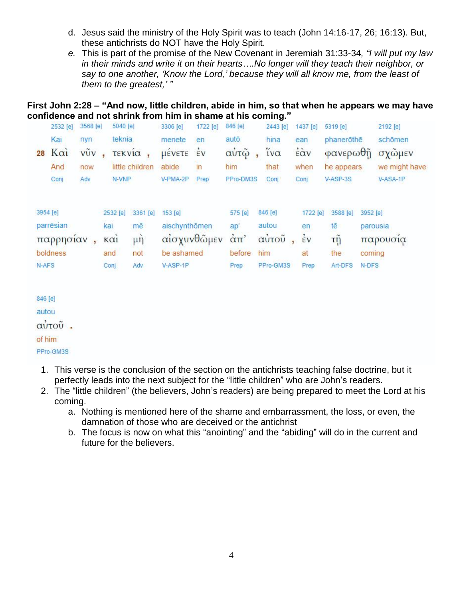- d. Jesus said the ministry of the Holy Spirit was to teach (John 14:16-17, 26; 16:13). But, these antichrists do NOT have the Holy Spirit.
- *e.* This is part of the promise of the New Covenant in Jeremiah 31:33-34*, "I will put my law in their minds and write it on their hearts….No longer will they teach their neighbor, or say to one another, 'Know the Lord,' because they will all know me, from the least of them to the greatest,' "*

## **First John 2:28 – "And now, little children, abide in him, so that when he appears we may have confidence and not shrink from him in shame at his coming."**

| Kai<br>$K\alpha i$<br>28 | nyn | teknia   |                      | menete        | en                 | autō.                       |            |                |            |               |
|--------------------------|-----|----------|----------------------|---------------|--------------------|-----------------------------|------------|----------------|------------|---------------|
|                          |     |          |                      |               |                    |                             | hina       | ean            | phanerothe | schömen       |
|                          | vũv |          | <b><i>TEKVIC</i></b> | μενετε        | $\dot{\epsilon}$ v | αὐτῷ                        | $iv\alpha$ | έὰν            | φανερωθῆ   | σχώμεν        |
| And                      | now |          | little children      | abide         | in                 | him                         | that       | when           | he appears | we might have |
| Conj                     | Adv | N-VNP    |                      | V-PMA-2P      | Prep               | PPro-DM3S                   | Conj       | Conj           | V-ASP-3S   | V-ASA-1P      |
| 3954 [e]                 |     | 2532 [e] | 3361 [e]             | $153$ [e]     |                    | 575 [e]                     | 846 [e]    | 1722 [e]       | 3588 [e]   | 3952 [e]      |
| parrēsian                |     | kai      | mē                   | aischynthömen |                    | ap'                         | autou      | en.            | tē         | parousia      |
| παρρησίαν                |     | KCI      | $\mu$ η              |               | αίσχυνθώμεν        | $\alpha$ $\pi$ <sup>'</sup> | αὐτοῦ      | $\frac{2}{5}V$ | τỹ         | παρουσια      |
| boldness                 |     | and      | not                  | be ashamed    |                    | before                      | him        | at             | the        | coming        |
| N-AFS                    |     | Conj     | Adv                  | V-ASP-1P      |                    | Prep                        | PPro-GM3S  | Prep           | Art-DFS    | N-DFS         |

846 [e] autou αὐτοῦ.

of him

- PPro-GM3S
- 1. This verse is the conclusion of the section on the antichrists teaching false doctrine, but it perfectly leads into the next subject for the "little children" who are John's readers.
- 2. The "little children" (the believers, John's readers) are being prepared to meet the Lord at his coming.
	- a. Nothing is mentioned here of the shame and embarrassment, the loss, or even, the damnation of those who are deceived or the antichrist
	- b. The focus is now on what this "anointing" and the "abiding" will do in the current and future for the believers.